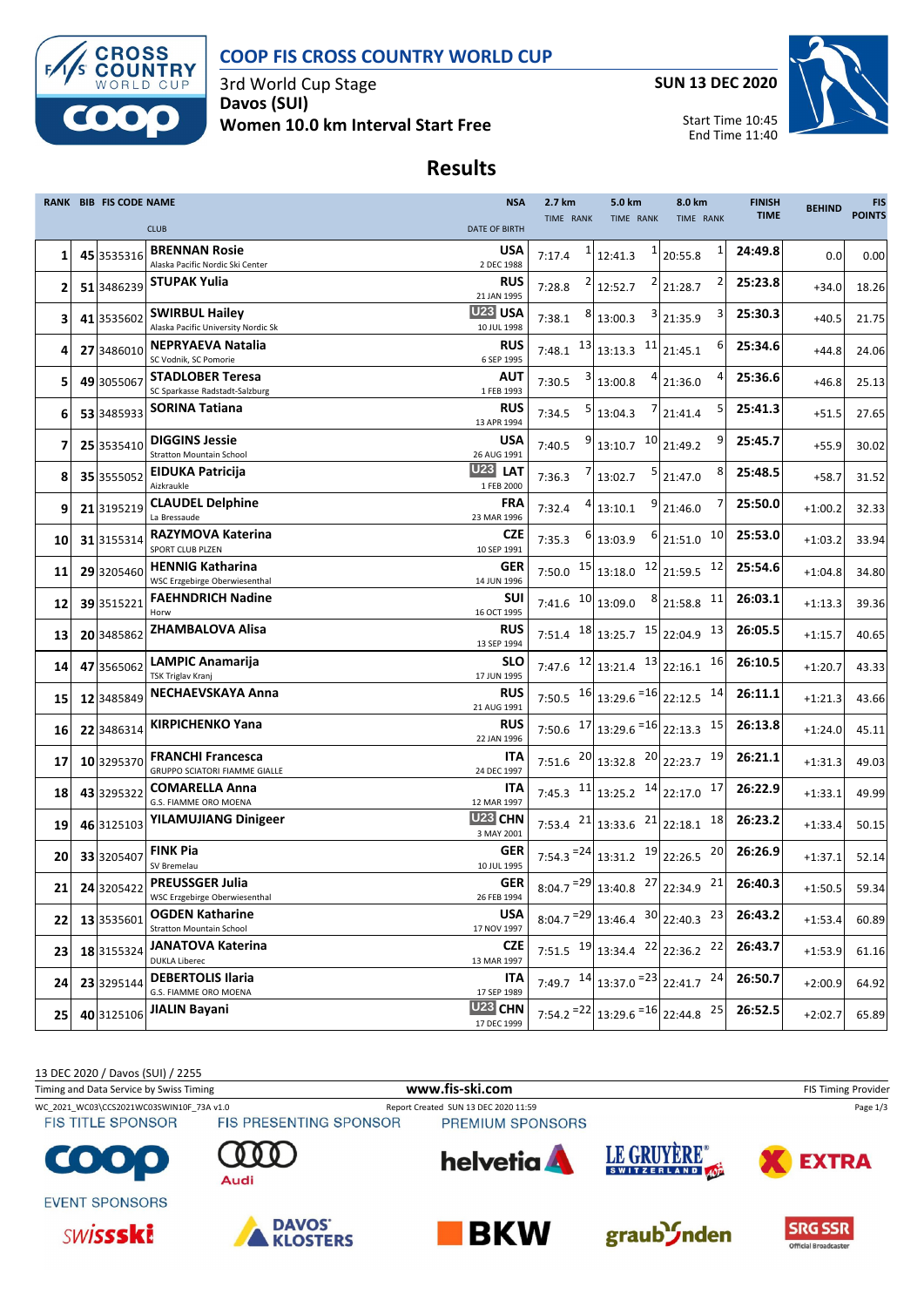

# **COOP FIS CROSS COUNTRY WORLD CUP**

3rd World Cup Stage **Davos (SUI) Women 10.0 km Interval Start Free** **SUN 13 DEC 2020**



Start Time 10:45 End Time 11:40

#### **Results**

|    | <b>RANK BIB FIS CODE NAME</b> |                                                              | <b>NSA</b>                         | 2.7 km           | 5.0 km                                                                                         | 8.0 km             | <b>FINISH</b> | <b>BEHIND</b> | <b>FIS</b>    |
|----|-------------------------------|--------------------------------------------------------------|------------------------------------|------------------|------------------------------------------------------------------------------------------------|--------------------|---------------|---------------|---------------|
|    |                               | <b>CLUB</b>                                                  | <b>DATE OF BIRTH</b>               | <b>TIME RANK</b> | TIME RANK                                                                                      | TIME RANK          | <b>TIME</b>   |               | <b>POINTS</b> |
| 1  | 45 3535316                    | <b>BRENNAN Rosie</b><br>Alaska Pacific Nordic Ski Center     | <b>USA</b><br>2 DEC 1988           | 7:17.4           | 12:41.3                                                                                        | $1$   20:55.8      | 24:49.8       | 0.0           | 0.00          |
| 2  | 51 3486239                    | <b>STUPAK Yulia</b>                                          | <b>RUS</b><br>21 JAN 1995          | 7:28.8           | 12:52.7                                                                                        | 2 21:28.7          | 25:23.8       | $+34.0$       | 18.26         |
| З  | 41 3535602                    | <b>SWIRBUL Hailey</b><br>Alaska Pacific University Nordic Sk | U <sub>23</sub> USA<br>10 JUL 1998 | 7:38.1           | 13:00.3                                                                                        | $3$ 21:35.9        | 25:30.3       | $+40.5$       | 21.75         |
| 4  | 27 3486010                    | NEPRYAEVA Natalia                                            | <b>RUS</b>                         | 7:48.1           | $13$ 13:13.3                                                                                   | $11$ 21:45.1       | 25:34.6       | $+44.8$       | 24.06         |
| 5  | 49 3055067                    | SC Vodnik, SC Pomorie<br><b>STADLOBER Teresa</b>             | 6 SEP 1995<br><b>AUT</b>           | 7:30.5           | 13:00.8                                                                                        | $4$   21:36.0      | 25:36.6       | $+46.8$       | 25.13         |
| 6  | 53 3485933                    | SC Sparkasse Radstadt-Salzburg<br><b>SORINA Tatiana</b>      | 1 FEB 1993<br><b>RUS</b>           | 7:34.5           | 13:04.3                                                                                        | 7 21:41.4          | 25:41.3       | $+51.5$       | 27.65         |
|    |                               | <b>DIGGINS Jessie</b>                                        | 13 APR 1994<br>USA                 |                  |                                                                                                |                    | 25:45.7       |               |               |
| 7  | 25 3535410                    | <b>Stratton Mountain School</b>                              | 26 AUG 1991                        | 7:40.5           | 13:10.7                                                                                        | $10$ 21:49.2       |               | $+55.9$       | 30.02         |
| 8  | 35 3555052                    | EIDUKA Patricija<br>Aizkraukle                               | U23<br><b>LAT</b><br>1 FEB 2000    | 7:36.3           | 5<br>13:02.7                                                                                   | 8<br>21:47.0       | 25:48.5       | $+58.7$       | 31.52         |
| 9  | 21 3195219                    | <b>CLAUDEL Delphine</b><br>La Bressaude                      | <b>FRA</b><br>23 MAR 1996          | 7:32.4           | 13:10.1                                                                                        | $9$ 21:46.0        | 25:50.0       | $+1:00.2$     | 32.33         |
| 10 | 31 3155314                    | <b>RAZYMOVA Katerina</b><br>SPORT CLUB PLZEN                 | CZE<br>10 SEP 1991                 | 7:35.3           | 13:03.9                                                                                        | 10<br>$6$ 21:51.0  | 25:53.0       | $+1:03.2$     | 33.94         |
| 11 | 29 3205460                    | <b>HENNIG Katharina</b><br>WSC Erzgebirge Oberwiesenthal     | <b>GER</b><br>14 JUN 1996          |                  | 7:50.0 $15$ 13:18.0                                                                            | $12$ 21:59.5<br>12 | 25:54.6       | $+1:04.8$     | 34.80         |
| 12 | 39 3515221                    | <b>FAEHNDRICH Nadine</b><br>Horw                             | SUI<br>16 OCT 1995                 |                  | $7:41.6$ $10 \mid 13:09.0$                                                                     | $8$ 21:58.8<br>11  | 26:03.1       | $+1:13.3$     | 39.36         |
| 13 | 20 3485862                    | <b>ZHAMBALOVA Alisa</b>                                      | <b>RUS</b><br>13 SEP 1994          |                  | 7:51.4 $18 \mid 13:25.7$ $15 \mid 22:04.9$                                                     | 13                 | 26:05.5       | $+1:15.7$     | 40.65         |
| 14 | 47 3565062                    | <b>LAMPIC Anamarija</b><br>TSK Triglav Kranj                 | <b>SLO</b><br>17 JUN 1995          |                  | 7:47.6 $12 \mid 13:21.4$ $13 \mid 22:16.1$                                                     | 16                 | 26:10.5       | $+1:20.7$     | 43.33         |
| 15 | 12 3485849                    | <b>NECHAEVSKAYA Anna</b>                                     | <b>RUS</b><br>21 AUG 1991          |                  | 7:50.5 $16$ 13:29.6 $=$ 16 22:12.5                                                             | <b>14</b>          | 26:11.1       | $+1:21.3$     | 43.66         |
| 16 | 22 3486314                    | <b>KIRPICHENKO Yana</b>                                      | <b>RUS</b><br>22 JAN 1996          |                  | 7:50.6 $17 \mid 13:29.6 = 16 \mid 22:13.3$                                                     | 15                 | 26:13.8       | $+1:24.0$     | 45.11         |
| 17 | 10 3295370                    | <b>FRANCHI Francesca</b><br>GRUPPO SCIATORI FIAMME GIALLE    | ITA<br>24 DEC 1997                 |                  | 7:51.6 $^{20}$ 13:32.8 $^{20}$ 22:23.7                                                         | 19                 | 26:21.1       | $+1:31.3$     | 49.03         |
| 18 | 43 3295322                    | <b>COMARELLA Anna</b><br>G.S. FIAMME ORO MOENA               | ITA<br>12 MAR 1997                 |                  | 7:45.3 $11 \overline{)13:25.2}$ $14 \overline{)22:17.0}$                                       | 17                 | 26:22.9       | $+1:33.1$     | 49.99         |
| 19 | 46 3125103                    | <b>YILAMUJIANG Dinigeer</b>                                  | U23 CHN<br>3 MAY 2001              |                  | 7:53.4 $^{21}$ 13:33.6 $^{21}$ 22:18.1                                                         | 18                 | 26:23.2       | $+1:33.4$     | 50.15         |
| 20 | 33 3205407                    | <b>FINK Pia</b><br>SV Bremelau                               | <b>GER</b><br>10 JUL 1995          |                  | 7:54.3 $^{-24}$ 13:31.2 $^{19}$ 22:26.5                                                        | 20                 | 26:26.9       | $+1:37.1$     | 52.14         |
| 21 | 24 3205422                    | <b>PREUSSGER Julia</b><br>WSC Erzgebirge Oberwiesenthal      | <b>GER</b><br>26 FEB 1994          |                  | 8:04.7 <sup><math>= 29</math></sup> 13:40.8 $27$ 22:34.9 $21$                                  |                    | 26:40.3       | $+1:50.5$     | 59.34         |
| 22 | 13 3535601                    | <b>OGDEN Katharine</b><br><b>Stratton Mountain School</b>    | <b>USA</b><br>17 NOV 1997          |                  | 8:04.7 $^{-29}$ 13:46.4 $30$ 22:40.3 23                                                        |                    | 26:43.2       | $+1:53.4$     | 60.89         |
| 23 | 18 3155324                    | <b>JANATOVA Katerina</b><br><b>DUKLA Liberec</b>             | <b>CZE</b><br>13 MAR 1997          |                  | 7:51.5 $^{19}$ 13:34.4 $^{22}$ 22:36.2                                                         | 22                 | 26:43.7       | $+1:53.9$     | 61.16         |
| 24 | 23 3295144                    | <b>DEBERTOLIS Ilaria</b><br>G.S. FIAMME ORO MOENA            | ITA<br>17 SEP 1989                 |                  | 7:49.7 $14 13:37.0 = 23 22:41.7$ $24 $                                                         |                    | 26:50.7       | $+2:00.9$     | 64.92         |
| 25 | 40 3125106                    | JIALIN Bayani                                                | U23 CHN<br>17 DEC 1999             |                  | 7:54.2 <sup><math>= 22</math></sup> 13:29.6 <sup><math>= 16</math></sup> 22:44.8 <sup>25</sup> |                    | 26:52.5       | $+2:02.7$     | 65.89         |

13 DEC 2020 / Davos (SUI) / 2255

Timing and Data Service by Swiss Timing **WWW.fis-Ski.com www.fis-ski.com** FIS Timing Provider

**FIS TITLE SPONSOR** 

CO)

Audi

WC\_2021\_WC03\CCS2021WC03SWIN10F\_73A v1.0 Report Created SUN 13 DEC 2020 11:59 Page 1/3<br>FIS TITLE SPONSOR FIS PRESENTING SPONSOR PREMIUM SPONSORS PREMIUM SPONSORS





graub<sup>3</sup>/nden







**EVENT SPONSORS** 



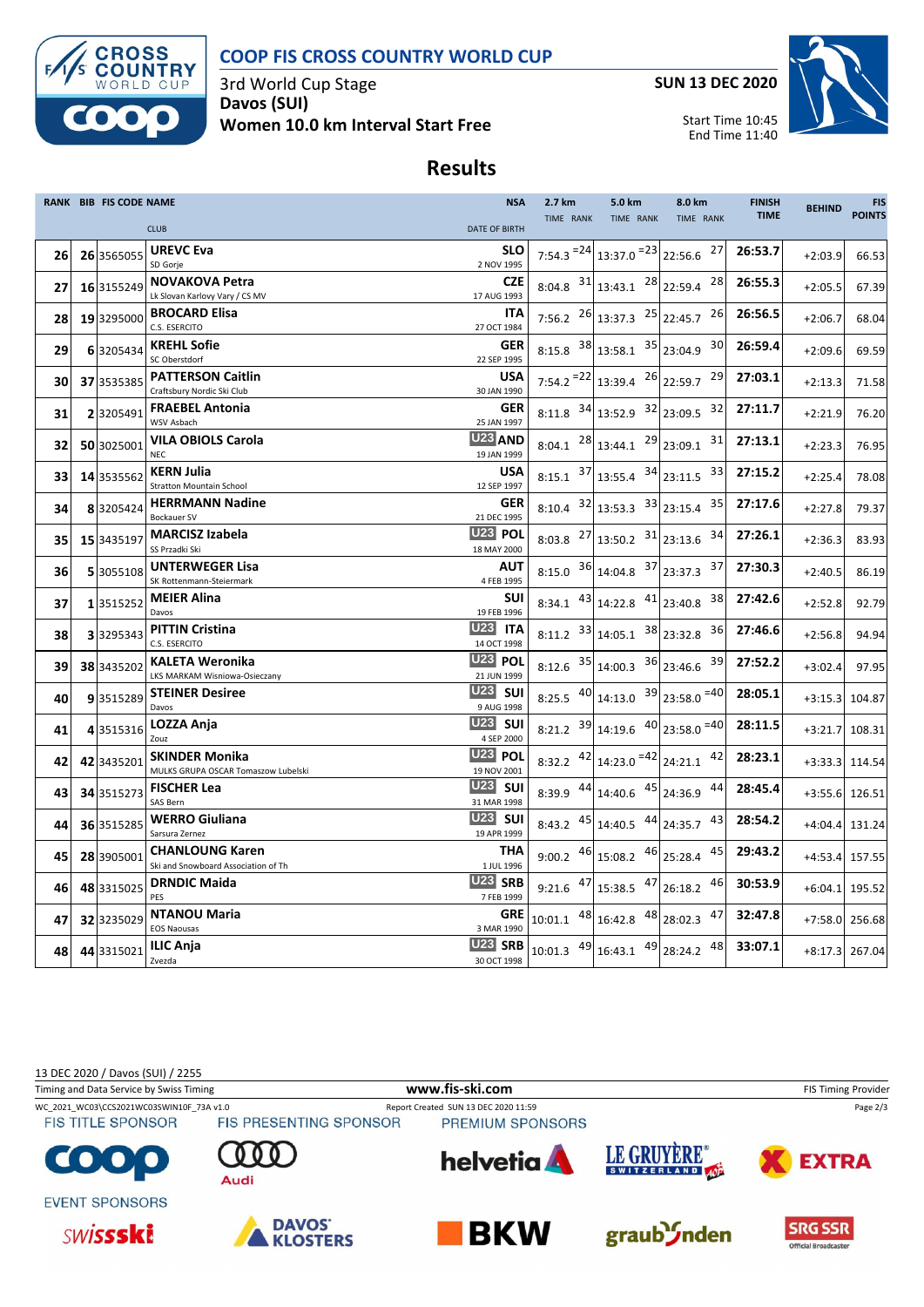

# **COOP FIS CROSS COUNTRY WORLD CUP**

3rd World Cup Stage **Davos (SUI) Women 10.0 km Interval Start Free** **SUN 13 DEC 2020**



Start Time 10:45 End Time 11:40

## **Results**

|    | RANK BIB FIS CODE NAME |                                                               | <b>NSA</b>                              | 2.7 km                          | 5.0 km                                                     | 8.0 km                                          | <b>FINISH</b> | <b>BEHIND</b>  | <b>FIS</b>    |
|----|------------------------|---------------------------------------------------------------|-----------------------------------------|---------------------------------|------------------------------------------------------------|-------------------------------------------------|---------------|----------------|---------------|
|    |                        | <b>CLUB</b>                                                   | <b>DATE OF BIRTH</b>                    | TIME RANK                       | TIME RANK                                                  | TIME RANK                                       | <b>TIME</b>   |                | <b>POINTS</b> |
| 26 | 26 3565055             | <b>UREVC Eva</b><br>SD Gorje                                  | <b>SLO</b><br>2 NOV 1995                |                                 | 7:54.3 $^{-24}$ 13:37.0 $^{-23}$ 22:56.6                   | 27                                              | 26:53.7       | $+2:03.9$      | 66.53         |
| 27 | 16 3155249             | <b>NOVAKOVA Petra</b><br>Lk Slovan Karlovy Vary / CS MV       | <b>CZE</b><br>17 AUG 1993               |                                 | 8:04.8 $31$ 13:43.1 $28$ 22:59.4                           | 28                                              | 26:55.3       | $+2:05.5$      | 67.39         |
| 28 | 19 3295000             | <b>BROCARD Elisa</b><br>C.S. ESERCITO                         | <b>ITA</b><br>27 OCT 1984               |                                 | 7:56.2 $^{26}$ 13:37.3 $^{25}$ 22:45.7                     | 26                                              | 26:56.5       | $+2:06.7$      | 68.04         |
| 29 | 6 3205434              | <b>KREHL Sofie</b><br>SC Oberstdorf                           | <b>GER</b><br>22 SEP 1995               |                                 | 8:15.8 $38 \mid 13:58.1$ $35 \mid 23:04.9$                 | 30                                              | 26:59.4       | $+2:09.6$      | 69.59         |
| 30 | 37 3535385             | <b>PATTERSON Caitlin</b><br>Craftsbury Nordic Ski Club        | <b>USA</b><br>30 JAN 1990               | $7:54.2$ <sup>=22</sup> 13:39.4 |                                                            | $26$ 22:59.7<br>29                              | 27:03.1       | $+2:13.3$      | 71.58         |
| 31 | 2 3205491              | <b>FRAEBEL Antonia</b><br>WSV Asbach                          | <b>GER</b><br>25 JAN 1997               |                                 | 8:11.8 $34$ 13:52.9 $32$ 23:09.5                           | 32                                              | 27:11.7       | $+2:21.9$      | 76.20         |
| 32 | 50 3025001             | <b>VILA OBIOLS Carola</b><br><b>NEC</b>                       | U <sub>23</sub> AND<br>19 JAN 1999      |                                 | $8:04.1$ $28 \mid 13:44.1$ $29 \mid 23:09.1$               | 31                                              | 27:13.1       | $+2:23.3$      | 76.95         |
| 33 | 14 3535562             | <b>KERN Julia</b><br><b>Stratton Mountain School</b>          | <b>USA</b><br>12 SEP 1997               |                                 | $8:15.1$ $37$ 13:55.4 $34$ 23:11.5                         | 33                                              | 27:15.2       | $+2:25.4$      | 78.08         |
| 34 | 83205424               | <b>HERRMANN Nadine</b><br><b>Bockauer SV</b>                  | <b>GER</b><br>21 DEC 1995               |                                 | $8:10.4$ $32 \mid 13:53.3$ $33 \mid 23:15.4$               | 35                                              | 27:17.6       | $+2:27.8$      | 79.37         |
| 35 | 15 343519              | <b>MARCISZ Izabela</b><br>SS Przadki Ski                      | <b>U23 POL</b><br>18 MAY 2000           |                                 | 8:03.8 $^{27}$ 13:50.2 $^{31}$ 23:13.6                     | 34                                              | 27:26.1       | $+2:36.3$      | 83.93         |
| 36 | 5 3055108              | <b>UNTERWEGER Lisa</b><br>SK Rottenmann-Steiermark            | <b>AUT</b><br>4 FEB 1995                |                                 | 8:15.0 $36 14:04.8$ $37 23:37.3$                           | 37                                              | 27:30.3       | $+2:40.5$      | 86.19         |
| 37 | 13515252               | <b>MEIER Alina</b><br>Davos                                   | SUI<br>19 FEB 1996                      |                                 | 8:34.1 $43 \mid 14:22.8$ $41 \mid 23:40.8$                 | 38                                              | 27:42.6       | $+2:52.8$      | 92.79         |
| 38 | 33295343               | <b>PITTIN Cristina</b><br>C.S. ESERCITO                       | <b>U23</b><br><b>ITA</b><br>14 OCT 1998 |                                 | 8:11.2 $33 14:05.1$ $38 23:32.8$                           | 36                                              | 27:46.6       | $+2:56.8$      | 94.94         |
| 39 | 38 3435202             | <b>KALETA Weronika</b><br>LKS MARKAM Wisniowa-Osieczany       | <b>U23 POL</b><br>21 JUN 1999           |                                 | 8:12.6 $35 \mid 14:00.3$ $36 \mid 23:46.6$                 | 39                                              | 27:52.2       | $+3:02.4$      | 97.95         |
| 40 | 9 3515289              | <b>STEINER Desiree</b><br>Davos                               | <b>U23</b> SUI<br>9 AUG 1998            |                                 |                                                            | 8:25.5 $^{40}$ 14:13.0 $^{39}$ 23:58.0 $^{=40}$ | 28:05.1       | $+3:15.3$      | 104.87        |
| 41 | 43515316               | LOZZA Anja<br>Zouz                                            | <b>U23 SUI</b><br>4 SEP 2000            |                                 |                                                            | 8:21.2 $39 14:19.6$ $40 23:58.0$ = 40           | 28:11.5       | $+3:21.7$      | 108.31        |
| 42 | 42 3435201             | <b>SKINDER Monika</b><br>MULKS GRUPA OSCAR Tomaszow Lubelski  | <b>U23 POL</b><br>19 NOV 2001           |                                 | 8:32.2 $\left.42\right $ 14:23.0 $\left.24\right $ 24:21.1 | 42                                              | 28:23.1       | $+3:33.3$      | 114.54        |
| 43 | 34 3515273             | <b>FISCHER Lea</b><br>SAS Bern                                | <b>U23</b> SUI<br>31 MAR 1998           |                                 | 8:39.9 $\left.44\right $ 14:40.6 $\left.45\right $ 24:36.9 | 44                                              | 28:45.4       | +3:55.6 126.51 |               |
| 44 | 36 3515285             | <b>WERRO Giuliana</b><br>Sarsura Zernez                       | <b>U23 SUI</b><br>19 APR 1999           |                                 | 8:43.2 $45 \mid 14:40.5$ $44 \mid 24:35.7$                 | 43                                              | 28:54.2       | +4:04.4 131.24 |               |
| 45 | 28 3905001             | <b>CHANLOUNG Karen</b><br>Ski and Snowboard Association of Th | THA<br>1 JUL 1996                       |                                 | 9:00.2 $46$ 15:08.2 $46$ 25:28.4                           | 45                                              | 29:43.2       | $+4:53.4$      | 157.55        |
| 46 | 48 3315025             | <b>DRNDIC Maida</b><br>PES                                    | U23 SRB<br>7 FEB 1999                   |                                 | 9:21.6 $47$ 15:38.5 $47$ 26:18.2                           | 46                                              | 30:53.9       | $+6:04.1$      | 195.52        |
| 47 | 32 3235029             | <b>NTANOU Maria</b><br><b>EOS Naousas</b>                     | <b>GRE</b><br>3 MAR 1990                | $10:01.1$ $48 \mid 16:42.8$     |                                                            | 48 28:02.3<br>47                                | 32:47.8       | $+7:58.0$      | 256.68        |
| 48 | 44 3315021             | <b>ILIC Anja</b><br>Zvezda                                    | U <sub>23</sub> SRB<br>30 OCT 1998      |                                 | $10:01.3$ $49 \mid 16:43.1$ $49 \mid 28:24.2$              | 48                                              | 33:07.1       | +8:17.3 267.04 |               |

13 DEC 2020 / Davos (SUI) / 2255

Timing and Data Service by Swiss Timing **WWW.fis-Ski.com www.fis-ski.com** FIS Timing Provider

**FIS TITLE SPONSOR** 

WC\_2021\_WC03\CCS2021WC03SWIN10F\_73A v1.0 Report Created SUN 13 DEC 2020 11:59 Page 2/3<br>FIS TITLE SPONSOR FIS PRESENTING SPONSOR PREMIUM SPONSORS













**EVENT SPONSORS** 

 $\left| \mathbf{0} \right|$ 

O





Audi